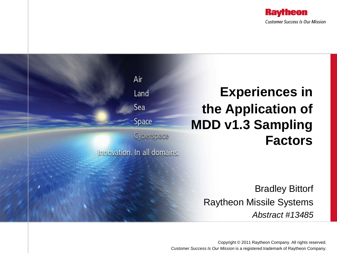



Copyright © 2011 Raytheon Company. All rights reserved. *Customer Success Is Our Mission* is a registered trademark of Raytheon Company.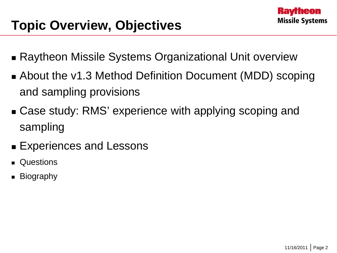## **Topic Overview, Objectives**

- Raytheon Missile Systems Organizational Unit overview
- About the v1.3 Method Definition Document (MDD) scoping and sampling provisions
- Case study: RMS' experience with applying scoping and sampling
- **Experiences and Lessons**
- **Questions**
- **Biography**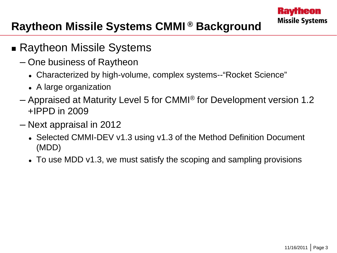#### **Raytheon Missile Systems CMMI ® Background**

- **Raytheon Missile Systems** 
	- One business of Raytheon
		- Characterized by high-volume, complex systems--"Rocket Science"
		- A large organization
	- Appraised at Maturity Level 5 for CMMI® for Development version 1.2 +IPPD in 2009
	- Next appraisal in 2012
		- Selected CMMI-DEV v1.3 using v1.3 of the Method Definition Document (MDD)
		- To use MDD v1.3, we must satisfy the scoping and sampling provisions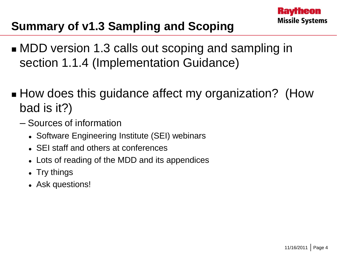### **Summary of v1.3 Sampling and Scoping**

- **NDD** version 1.3 calls out scoping and sampling in section 1.1.4 (Implementation Guidance)
- How does this guidance affect my organization? (How bad is it?)
	- Sources of information
		- Software Engineering Institute (SEI) webinars
		- SEI staff and others at conferences
		- Lots of reading of the MDD and its appendices
		- Try things
		- Ask questions!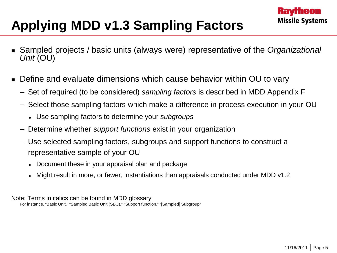# **Applying MDD v1.3 Sampling Factors**

- Sampled projects / basic units (always were) representative of the *Organizational Unit* (OU)
- Define and evaluate dimensions which cause behavior within OU to vary
	- Set of required (to be considered) *sampling factors* is described in MDD Appendix F
	- Select those sampling factors which make a difference in process execution in your OU
		- Use sampling factors to determine your *subgroups*
	- Determine whether *support functions* exist in your organization
	- Use selected sampling factors, subgroups and support functions to construct a representative sample of your OU
		- Document these in your appraisal plan and package
		- Might result in more, or fewer, instantiations than appraisals conducted under MDD v1.2

Note: Terms in italics can be found in MDD glossary For instance, "Basic Unit," "Sampled Basic Unit (SBU)," "Support function," "[Sampled] Subgroup"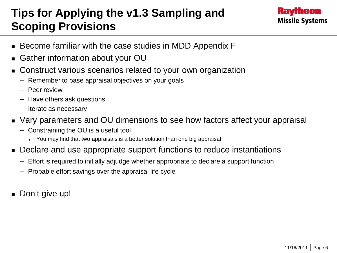#### **Tips for Applying the v1.3 Sampling and Scoping Provisions**



- Become familiar with the case studies in MDD Appendix F
- Gather information about your OU
- Construct various scenarios related to your own organization
	- Remember to base appraisal objectives on your goals
	- Peer review
	- Have others ask questions
	- Iterate as necessary
- Vary parameters and OU dimensions to see how factors affect your appraisal
	- Constraining the OU is a useful tool
		- You may find that two appraisals is a better solution than one big appraisal
- Declare and use appropriate support functions to reduce instantiations
	- Effort is required to initially adjudge whether appropriate to declare a support function
	- Probable effort savings over the appraisal life cycle
- Don't give up!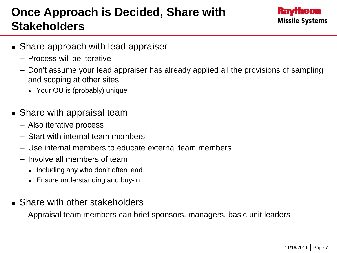### **Once Approach is Decided, Share with Stakeholders**



- **Share approach with lead appraiser** 
	- Process will be iterative
	- Don't assume your lead appraiser has already applied all the provisions of sampling and scoping at other sites
		- Your OU is (probably) unique
- **Share with appraisal team** 
	- Also iterative process
	- Start with internal team members
	- Use internal members to educate external team members
	- Involve all members of team
		- Including any who don't often lead
		- Ensure understanding and buy-in
- **Share with other stakeholders** 
	- Appraisal team members can brief sponsors, managers, basic unit leaders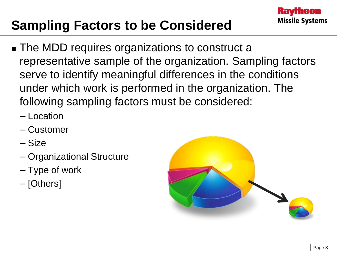## **Sampling Factors to be Considered**

- **The MDD requires organizations to construct a** representative sample of the organization. Sampling factors serve to identify meaningful differences in the conditions under which work is performed in the organization. The following sampling factors must be considered:
	- Location
	- Customer
	- Size
	- Organizational Structure
	- Type of work
	- [Others]

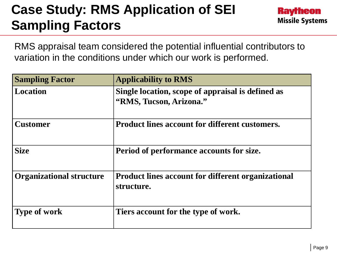## **Case Study: RMS Application of SEI Sampling Factors**



RMS appraisal team considered the potential influential contributors to variation in the conditions under which our work is performed.

| <b>Sampling Factor</b>          | <b>Applicability to RMS</b>                                                  |
|---------------------------------|------------------------------------------------------------------------------|
| Location                        | Single location, scope of appraisal is defined as<br>"RMS, Tucson, Arizona." |
| <b>Customer</b>                 | <b>Product lines account for different customers.</b>                        |
| <b>Size</b>                     | Period of performance accounts for size.                                     |
| <b>Organizational structure</b> | <b>Product lines account for different organizational</b><br>structure.      |
| <b>Type of work</b>             | Tiers account for the type of work.                                          |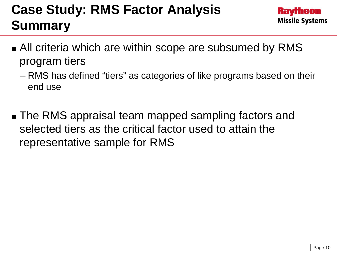## **Case Study: RMS Factor Analysis Summary**

- **All criteria which are within scope are subsumed by RMS** program tiers
	- RMS has defined "tiers" as categories of like programs based on their end use
- **The RMS appraisal team mapped sampling factors and** selected tiers as the critical factor used to attain the representative sample for RMS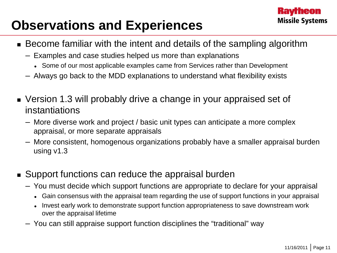#### **Kavrheon Missile Systems**

### **Observations and Experiences**

- Become familiar with the intent and details of the sampling algorithm
	- Examples and case studies helped us more than explanations
		- Some of our most applicable examples came from Services rather than Development
	- Always go back to the MDD explanations to understand what flexibility exists
- Version 1.3 will probably drive a change in your appraised set of instantiations
	- More diverse work and project / basic unit types can anticipate a more complex appraisal, or more separate appraisals
	- More consistent, homogenous organizations probably have a smaller appraisal burden using v1.3
- Support functions can reduce the appraisal burden
	- You must decide which support functions are appropriate to declare for your appraisal
		- Gain consensus with the appraisal team regarding the use of support functions in your appraisal
		- Invest early work to demonstrate support function appropriateness to save downstream work over the appraisal lifetime
	- You can still appraise support function disciplines the "traditional" way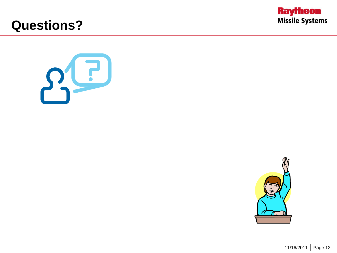

#### **Questions?**

 $3^{2}$